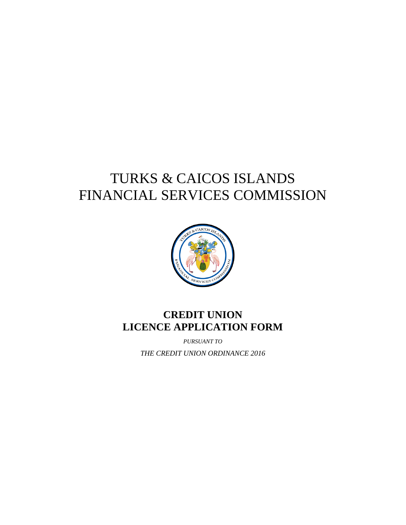## TURKS & CAICOS ISLANDS FINANCIAL SERVICES COMMISSION



## **CREDIT UNION LICENCE APPLICATION FORM**

*PURSUANT TO*

*THE CREDIT UNION ORDINANCE 2016*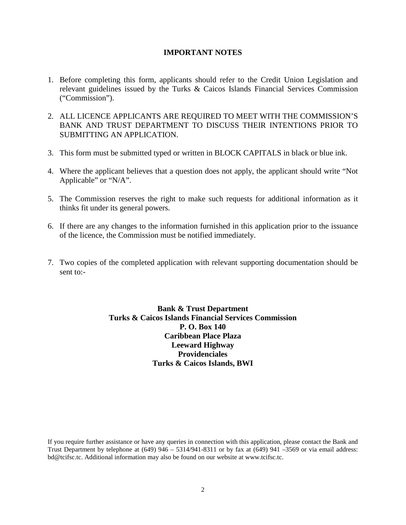#### **IMPORTANT NOTES**

- 1. Before completing this form, applicants should refer to the Credit Union Legislation and relevant guidelines issued by the Turks & Caicos Islands Financial Services Commission ("Commission").
- 2. ALL LICENCE APPLICANTS ARE REQUIRED TO MEET WITH THE COMMISSION'S BANK AND TRUST DEPARTMENT TO DISCUSS THEIR INTENTIONS PRIOR TO SUBMITTING AN APPLICATION.
- 3. This form must be submitted typed or written in BLOCK CAPITALS in black or blue ink.
- 4. Where the applicant believes that a question does not apply, the applicant should write "Not Applicable" or "N/A".
- 5. The Commission reserves the right to make such requests for additional information as it thinks fit under its general powers.
- 6. If there are any changes to the information furnished in this application prior to the issuance of the licence, the Commission must be notified immediately.
- 7. Two copies of the completed application with relevant supporting documentation should be sent to:-

**Bank & Trust Department Turks & Caicos Islands Financial Services Commission P. O. Box 140 Caribbean Place Plaza Leeward Highway Providenciales Turks & Caicos Islands, BWI**

If you require further assistance or have any queries in connection with this application, please contact the Bank and Trust Department by telephone at  $(649)$  946 – 5314/941-8311 or by fax at  $(649)$  941 –3569 or via email address: bd@tcifsc.tc. Additional information may also be found on our website at [www.tcifsc.tc.](http://www.tcifsc.tc/)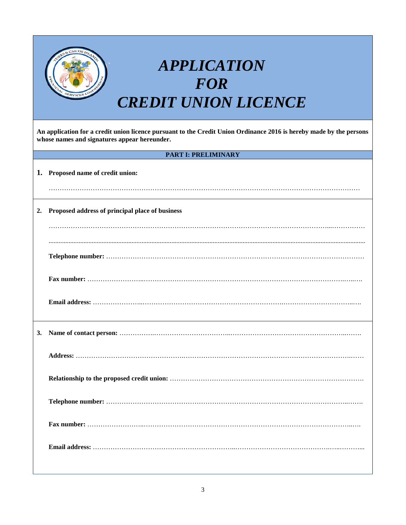|    | <b>APPLICATION</b><br><b>FOR</b><br><b>CREDIT UNION LICENCE</b>                                                                                                     |  |  |  |  |  |  |  |  |  |
|----|---------------------------------------------------------------------------------------------------------------------------------------------------------------------|--|--|--|--|--|--|--|--|--|
|    | An application for a credit union licence pursuant to the Credit Union Ordinance 2016 is hereby made by the persons<br>whose names and signatures appear hereunder. |  |  |  |  |  |  |  |  |  |
|    | <b>PART I: PRELIMINARY</b>                                                                                                                                          |  |  |  |  |  |  |  |  |  |
|    | 1. Proposed name of credit union:                                                                                                                                   |  |  |  |  |  |  |  |  |  |
|    |                                                                                                                                                                     |  |  |  |  |  |  |  |  |  |
| 2. | Proposed address of principal place of business                                                                                                                     |  |  |  |  |  |  |  |  |  |
|    |                                                                                                                                                                     |  |  |  |  |  |  |  |  |  |
|    |                                                                                                                                                                     |  |  |  |  |  |  |  |  |  |
|    |                                                                                                                                                                     |  |  |  |  |  |  |  |  |  |
|    |                                                                                                                                                                     |  |  |  |  |  |  |  |  |  |
| 3. |                                                                                                                                                                     |  |  |  |  |  |  |  |  |  |
|    |                                                                                                                                                                     |  |  |  |  |  |  |  |  |  |
|    |                                                                                                                                                                     |  |  |  |  |  |  |  |  |  |
|    |                                                                                                                                                                     |  |  |  |  |  |  |  |  |  |
|    |                                                                                                                                                                     |  |  |  |  |  |  |  |  |  |
|    |                                                                                                                                                                     |  |  |  |  |  |  |  |  |  |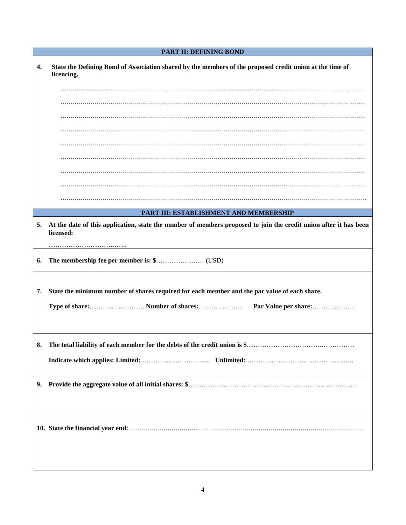|          | <b>PART II: DEFINING BOND</b>                                                                                          |
|----------|------------------------------------------------------------------------------------------------------------------------|
| 4.       | State the Defining Bond of Association shared by the members of the proposed credit union at the time of<br>licencing. |
|          |                                                                                                                        |
|          |                                                                                                                        |
|          |                                                                                                                        |
|          |                                                                                                                        |
|          |                                                                                                                        |
|          |                                                                                                                        |
|          |                                                                                                                        |
|          |                                                                                                                        |
|          |                                                                                                                        |
|          | PART III: ESTABLISHMENT AND MEMBERSHIP                                                                                 |
| 6.<br>7. | State the minimum number of shares required for each member and the par value of each share.<br>Par Value per share:   |
| ა.       |                                                                                                                        |
|          |                                                                                                                        |
|          |                                                                                                                        |
|          |                                                                                                                        |
|          |                                                                                                                        |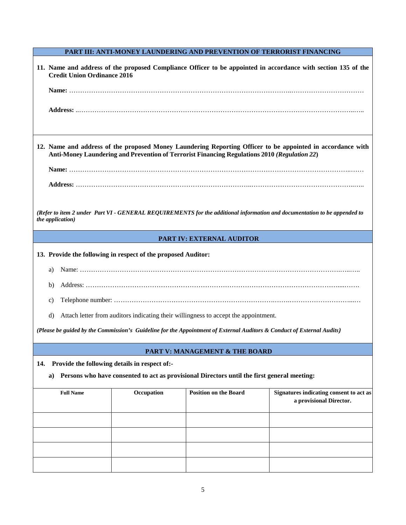#### **PART III: ANTI-MONEY LAUNDERING AND PREVENTION OF TERRORIST FINANCING**

| <b>Credit Union Ordinance 2016</b>                            |                                               |                                                                                                                        | 11. Name and address of the proposed Compliance Officer to be appointed in accordance with section 135 of the            |
|---------------------------------------------------------------|-----------------------------------------------|------------------------------------------------------------------------------------------------------------------------|--------------------------------------------------------------------------------------------------------------------------|
|                                                               |                                               |                                                                                                                        |                                                                                                                          |
|                                                               |                                               |                                                                                                                        |                                                                                                                          |
|                                                               |                                               | Anti-Money Laundering and Prevention of Terrorist Financing Regulations 2010 (Regulation 22)                           | 12. Name and address of the proposed Money Laundering Reporting Officer to be appointed in accordance with               |
|                                                               |                                               |                                                                                                                        |                                                                                                                          |
|                                                               |                                               |                                                                                                                        |                                                                                                                          |
|                                                               |                                               |                                                                                                                        |                                                                                                                          |
| the application)                                              |                                               |                                                                                                                        | (Refer to item 2 under Part VI - GENERAL REQUIREMENTS for the additional information and documentation to be appended to |
|                                                               |                                               | PART IV: EXTERNAL AUDITOR                                                                                              |                                                                                                                          |
| 13. Provide the following in respect of the proposed Auditor: |                                               |                                                                                                                        |                                                                                                                          |
| a)                                                            |                                               |                                                                                                                        |                                                                                                                          |
| b)                                                            |                                               |                                                                                                                        |                                                                                                                          |
| c)                                                            |                                               |                                                                                                                        |                                                                                                                          |
| $\rm d$                                                       |                                               | Attach letter from auditors indicating their willingness to accept the appointment.                                    |                                                                                                                          |
|                                                               |                                               | (Please be guided by the Commission's Guideline for the Appointment of External Auditors & Conduct of External Audits) |                                                                                                                          |
|                                                               |                                               |                                                                                                                        |                                                                                                                          |
|                                                               |                                               | <b>PART V: MANAGEMENT &amp; THE BOARD</b>                                                                              |                                                                                                                          |
| 14.<br>a)                                                     | Provide the following details in respect of:- | Persons who have consented to act as provisional Directors until the first general meeting:                            |                                                                                                                          |
|                                                               |                                               |                                                                                                                        |                                                                                                                          |
| <b>Full Name</b>                                              | Occupation                                    | <b>Position on the Board</b>                                                                                           | Signatures indicating consent to act as<br>a provisional Director.                                                       |
|                                                               |                                               |                                                                                                                        |                                                                                                                          |
|                                                               |                                               |                                                                                                                        |                                                                                                                          |
|                                                               |                                               |                                                                                                                        |                                                                                                                          |
|                                                               |                                               |                                                                                                                        |                                                                                                                          |
|                                                               |                                               |                                                                                                                        |                                                                                                                          |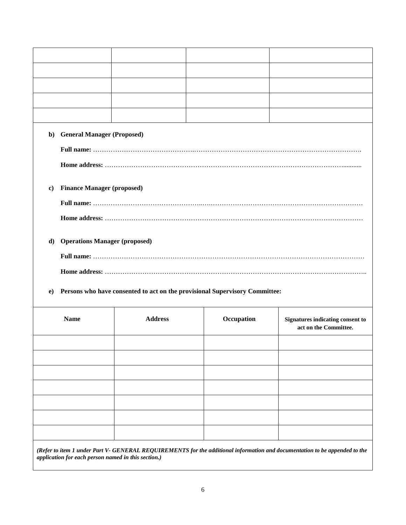|          | b) General Manager (Proposed)        |                |                                                                             |                                                           |
|----------|--------------------------------------|----------------|-----------------------------------------------------------------------------|-----------------------------------------------------------|
|          |                                      |                |                                                                             |                                                           |
|          |                                      |                |                                                                             |                                                           |
| $\bf c)$ | <b>Finance Manager (proposed)</b>    |                |                                                                             |                                                           |
|          |                                      |                |                                                                             |                                                           |
|          |                                      |                |                                                                             |                                                           |
| d)       | <b>Operations Manager (proposed)</b> |                |                                                                             |                                                           |
|          |                                      |                |                                                                             |                                                           |
|          |                                      |                |                                                                             |                                                           |
| $\bf{e}$ |                                      |                | Persons who have consented to act on the provisional Supervisory Committee: |                                                           |
|          | <b>Name</b>                          | <b>Address</b> | Occupation                                                                  | Signatures indicating consent to<br>act on the Committee. |
|          |                                      |                |                                                                             |                                                           |
|          |                                      |                |                                                                             |                                                           |

*(Refer to item 1 under Part V- GENERAL REQUIREMENTS for the additional information and documentation to be appended to the application for each person named in this section.)*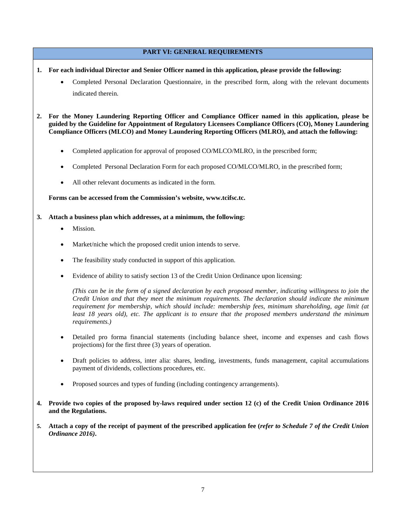#### **PART VI: GENERAL REQUIREMENTS**

- **1. For each individual Director and Senior Officer named in this application, please provide the following:**
	- Completed Personal Declaration Questionnaire, in the prescribed form, along with the relevant documents indicated therein.
- **2. For the Money Laundering Reporting Officer and Compliance Officer named in this application, please be guided by the Guideline for Appointment of Regulatory Licensees Compliance Officers (CO), Money Laundering Compliance Officers (MLCO) and Money Laundering Reporting Officers (MLRO), and attach the following:**
	- Completed application for approval of proposed CO/MLCO/MLRO, in the prescribed form;
	- Completed Personal Declaration Form for each proposed CO/MLCO/MLRO, in the prescribed form;
	- All other relevant documents as indicated in the form.

#### **Forms can be accessed from the Commission's website, [www.tcifsc.tc.](http://www.tcifsc.tc/)**

- **3. Attach a business plan which addresses, at a minimum, the following:** 
	- Mission.
	- Market/niche which the proposed credit union intends to serve.
	- The feasibility study conducted in support of this application.
	- Evidence of ability to satisfy section 13 of the Credit Union Ordinance upon licensing:

*(This can be in the form of a signed declaration by each proposed member, indicating willingness to join the Credit Union and that they meet the minimum requirements. The declaration should indicate the minimum requirement for membership, which should include: membership fees, minimum shareholding, age limit (at least 18 years old), etc. The applicant is to ensure that the proposed members understand the minimum requirements.)* 

- Detailed pro forma financial statements (including balance sheet, income and expenses and cash flows projections) for the first three (3) years of operation.
- Draft policies to address, inter alia: shares, lending, investments, funds management, capital accumulations payment of dividends, collections procedures, etc.
- Proposed sources and types of funding (including contingency arrangements).
- **4. Provide two copies of the proposed by-laws required under section 12 (c) of the Credit Union Ordinance 2016 and the Regulations.**
- **5. Attach a copy of the receipt of payment of the prescribed application fee (***refer to Schedule 7 of the Credit Union Ordinance 2016)***.**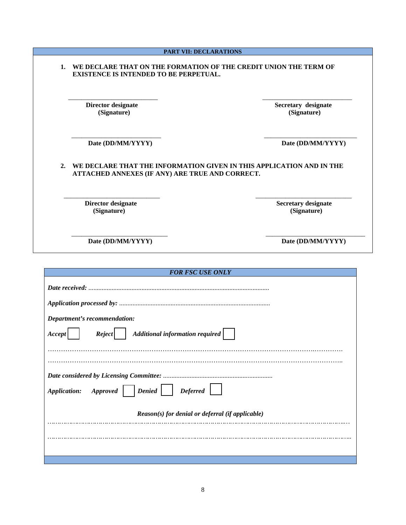| <b>EXISTENCE IS INTENDED TO BE PERPETUAL.</b>         |                                                                      |
|-------------------------------------------------------|----------------------------------------------------------------------|
| Director designate<br>(Signature)                     | Secretary designate<br>(Signature)                                   |
|                                                       |                                                                      |
| Date (DD/MM/YYYY)                                     | Date (DD/MM/YYYY)                                                    |
| 2.<br>ATTACHED ANNEXES (IF ANY) ARE TRUE AND CORRECT. | WE DECLARE THAT THE INFORMATION GIVEN IN THIS APPLICATION AND IN THE |
| Director designate<br>(Signature)                     | <b>Secretary designate</b><br>(Signature)                            |

| <b>FOR FSC USE ONLY</b>                              |  |  |  |  |  |  |
|------------------------------------------------------|--|--|--|--|--|--|
|                                                      |  |  |  |  |  |  |
|                                                      |  |  |  |  |  |  |
| Department's recommendation:                         |  |  |  |  |  |  |
| Reject   Additional information required  <br>Accept |  |  |  |  |  |  |
|                                                      |  |  |  |  |  |  |
|                                                      |  |  |  |  |  |  |
|                                                      |  |  |  |  |  |  |
| Application: Approved   Denied   Deferred            |  |  |  |  |  |  |
| $Reason(s)$ for denial or deferral (if applicable)   |  |  |  |  |  |  |
|                                                      |  |  |  |  |  |  |
|                                                      |  |  |  |  |  |  |
|                                                      |  |  |  |  |  |  |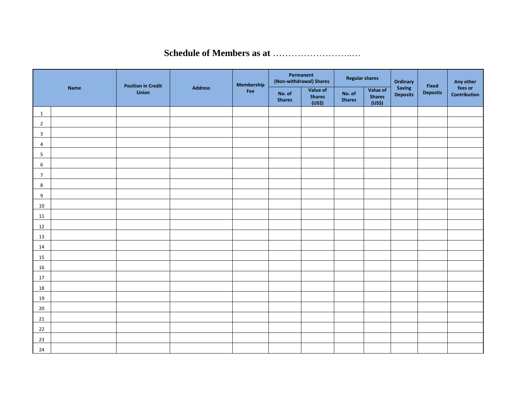### **Schedule of Members as at** ……………………..…

|                |             |                                           |                | Membership |                         | Permanent<br>(Non-withdrawal) Shares | <b>Regular shares</b>   |                                     | Ordinary                  |                          | Any other                      |
|----------------|-------------|-------------------------------------------|----------------|------------|-------------------------|--------------------------------------|-------------------------|-------------------------------------|---------------------------|--------------------------|--------------------------------|
|                | <b>Name</b> | <b>Position in Credit</b><br><b>Union</b> | <b>Address</b> | Fee        | No. of<br><b>Shares</b> | Value of<br><b>Shares</b><br>(US\$)  | No. of<br><b>Shares</b> | Value of<br><b>Shares</b><br>(US\$) | Saving<br><b>Deposits</b> | Fixed<br><b>Deposits</b> | fees or<br><b>Contribution</b> |
| $\mathbf{1}$   |             |                                           |                |            |                         |                                      |                         |                                     |                           |                          |                                |
| $\overline{2}$ |             |                                           |                |            |                         |                                      |                         |                                     |                           |                          |                                |
| 3              |             |                                           |                |            |                         |                                      |                         |                                     |                           |                          |                                |
| 4              |             |                                           |                |            |                         |                                      |                         |                                     |                           |                          |                                |
| 5              |             |                                           |                |            |                         |                                      |                         |                                     |                           |                          |                                |
| 6              |             |                                           |                |            |                         |                                      |                         |                                     |                           |                          |                                |
| $\overline{7}$ |             |                                           |                |            |                         |                                      |                         |                                     |                           |                          |                                |
| 8              |             |                                           |                |            |                         |                                      |                         |                                     |                           |                          |                                |
| 9              |             |                                           |                |            |                         |                                      |                         |                                     |                           |                          |                                |
| $10\,$         |             |                                           |                |            |                         |                                      |                         |                                     |                           |                          |                                |
| 11             |             |                                           |                |            |                         |                                      |                         |                                     |                           |                          |                                |
| 12             |             |                                           |                |            |                         |                                      |                         |                                     |                           |                          |                                |
| 13             |             |                                           |                |            |                         |                                      |                         |                                     |                           |                          |                                |
| $14\,$         |             |                                           |                |            |                         |                                      |                         |                                     |                           |                          |                                |
| 15             |             |                                           |                |            |                         |                                      |                         |                                     |                           |                          |                                |
| 16             |             |                                           |                |            |                         |                                      |                         |                                     |                           |                          |                                |
| 17             |             |                                           |                |            |                         |                                      |                         |                                     |                           |                          |                                |
| 18             |             |                                           |                |            |                         |                                      |                         |                                     |                           |                          |                                |
| 19             |             |                                           |                |            |                         |                                      |                         |                                     |                           |                          |                                |
| $20\,$         |             |                                           |                |            |                         |                                      |                         |                                     |                           |                          |                                |
| 21             |             |                                           |                |            |                         |                                      |                         |                                     |                           |                          |                                |
| 22             |             |                                           |                |            |                         |                                      |                         |                                     |                           |                          |                                |
| 23             |             |                                           |                |            |                         |                                      |                         |                                     |                           |                          |                                |
| 24             |             |                                           |                |            |                         |                                      |                         |                                     |                           |                          |                                |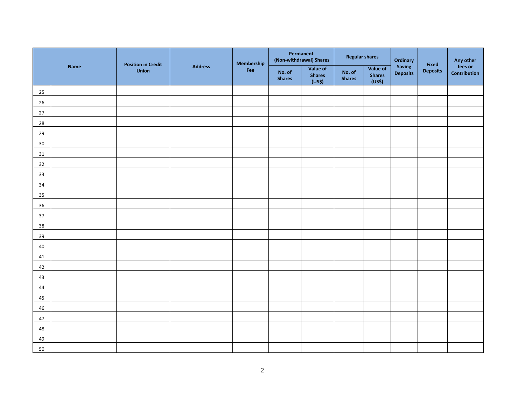|        |             |                                    |                | Membership |                         | Permanent<br>(Non-withdrawal) Shares | <b>Regular shares</b>   |                                     | Ordinary                  |                          | Any other               |
|--------|-------------|------------------------------------|----------------|------------|-------------------------|--------------------------------------|-------------------------|-------------------------------------|---------------------------|--------------------------|-------------------------|
|        | <b>Name</b> | <b>Position in Credit</b><br>Union | <b>Address</b> | Fee        | No. of<br><b>Shares</b> | Value of<br><b>Shares</b><br>(US\$)  | No. of<br><b>Shares</b> | Value of<br><b>Shares</b><br>(US\$) | Saving<br><b>Deposits</b> | Fixed<br><b>Deposits</b> | fees or<br>Contribution |
| 25     |             |                                    |                |            |                         |                                      |                         |                                     |                           |                          |                         |
| 26     |             |                                    |                |            |                         |                                      |                         |                                     |                           |                          |                         |
| $27\,$ |             |                                    |                |            |                         |                                      |                         |                                     |                           |                          |                         |
| 28     |             |                                    |                |            |                         |                                      |                         |                                     |                           |                          |                         |
| 29     |             |                                    |                |            |                         |                                      |                         |                                     |                           |                          |                         |
| $30\,$ |             |                                    |                |            |                         |                                      |                         |                                     |                           |                          |                         |
| 31     |             |                                    |                |            |                         |                                      |                         |                                     |                           |                          |                         |
| 32     |             |                                    |                |            |                         |                                      |                         |                                     |                           |                          |                         |
| 33     |             |                                    |                |            |                         |                                      |                         |                                     |                           |                          |                         |
| $34\,$ |             |                                    |                |            |                         |                                      |                         |                                     |                           |                          |                         |
| $35\,$ |             |                                    |                |            |                         |                                      |                         |                                     |                           |                          |                         |
| $36\,$ |             |                                    |                |            |                         |                                      |                         |                                     |                           |                          |                         |
| $37\,$ |             |                                    |                |            |                         |                                      |                         |                                     |                           |                          |                         |
| $38\,$ |             |                                    |                |            |                         |                                      |                         |                                     |                           |                          |                         |
| 39     |             |                                    |                |            |                         |                                      |                         |                                     |                           |                          |                         |
| $40\,$ |             |                                    |                |            |                         |                                      |                         |                                     |                           |                          |                         |
| 41     |             |                                    |                |            |                         |                                      |                         |                                     |                           |                          |                         |
| 42     |             |                                    |                |            |                         |                                      |                         |                                     |                           |                          |                         |
| 43     |             |                                    |                |            |                         |                                      |                         |                                     |                           |                          |                         |
| 44     |             |                                    |                |            |                         |                                      |                         |                                     |                           |                          |                         |
| $45\,$ |             |                                    |                |            |                         |                                      |                         |                                     |                           |                          |                         |
| 46     |             |                                    |                |            |                         |                                      |                         |                                     |                           |                          |                         |
| 47     |             |                                    |                |            |                         |                                      |                         |                                     |                           |                          |                         |
| 48     |             |                                    |                |            |                         |                                      |                         |                                     |                           |                          |                         |
| 49     |             |                                    |                |            |                         |                                      |                         |                                     |                           |                          |                         |
| 50     |             |                                    |                |            |                         |                                      |                         |                                     |                           |                          |                         |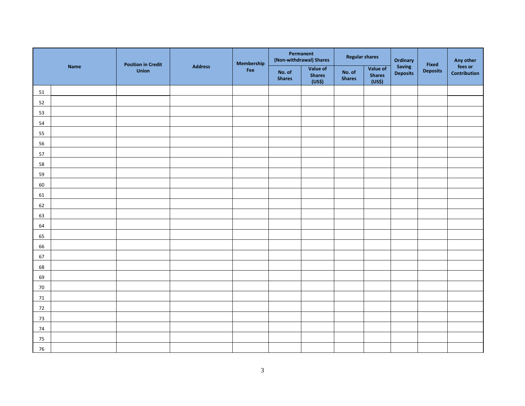|        |             |                                    |                | Membership |                         | Permanent<br>(Non-withdrawal) Shares | <b>Regular shares</b>   |                                     | Ordinary                  |                          | Any other               |
|--------|-------------|------------------------------------|----------------|------------|-------------------------|--------------------------------------|-------------------------|-------------------------------------|---------------------------|--------------------------|-------------------------|
|        | <b>Name</b> | <b>Position in Credit</b><br>Union | <b>Address</b> | Fee        | No. of<br><b>Shares</b> | Value of<br><b>Shares</b><br>(US\$)  | No. of<br><b>Shares</b> | Value of<br><b>Shares</b><br>(US\$) | Saving<br><b>Deposits</b> | Fixed<br><b>Deposits</b> | fees or<br>Contribution |
| 51     |             |                                    |                |            |                         |                                      |                         |                                     |                           |                          |                         |
| 52     |             |                                    |                |            |                         |                                      |                         |                                     |                           |                          |                         |
| 53     |             |                                    |                |            |                         |                                      |                         |                                     |                           |                          |                         |
| 54     |             |                                    |                |            |                         |                                      |                         |                                     |                           |                          |                         |
| 55     |             |                                    |                |            |                         |                                      |                         |                                     |                           |                          |                         |
| 56     |             |                                    |                |            |                         |                                      |                         |                                     |                           |                          |                         |
| 57     |             |                                    |                |            |                         |                                      |                         |                                     |                           |                          |                         |
| 58     |             |                                    |                |            |                         |                                      |                         |                                     |                           |                          |                         |
| 59     |             |                                    |                |            |                         |                                      |                         |                                     |                           |                          |                         |
| 60     |             |                                    |                |            |                         |                                      |                         |                                     |                           |                          |                         |
| 61     |             |                                    |                |            |                         |                                      |                         |                                     |                           |                          |                         |
| 62     |             |                                    |                |            |                         |                                      |                         |                                     |                           |                          |                         |
| 63     |             |                                    |                |            |                         |                                      |                         |                                     |                           |                          |                         |
| 64     |             |                                    |                |            |                         |                                      |                         |                                     |                           |                          |                         |
| 65     |             |                                    |                |            |                         |                                      |                         |                                     |                           |                          |                         |
| 66     |             |                                    |                |            |                         |                                      |                         |                                     |                           |                          |                         |
| 67     |             |                                    |                |            |                         |                                      |                         |                                     |                           |                          |                         |
| 68     |             |                                    |                |            |                         |                                      |                         |                                     |                           |                          |                         |
| 69     |             |                                    |                |            |                         |                                      |                         |                                     |                           |                          |                         |
| 70     |             |                                    |                |            |                         |                                      |                         |                                     |                           |                          |                         |
| 71     |             |                                    |                |            |                         |                                      |                         |                                     |                           |                          |                         |
| 72     |             |                                    |                |            |                         |                                      |                         |                                     |                           |                          |                         |
| 73     |             |                                    |                |            |                         |                                      |                         |                                     |                           |                          |                         |
| $74\,$ |             |                                    |                |            |                         |                                      |                         |                                     |                           |                          |                         |
| $75\,$ |             |                                    |                |            |                         |                                      |                         |                                     |                           |                          |                         |
| 76     |             |                                    |                |            |                         |                                      |                         |                                     |                           |                          |                         |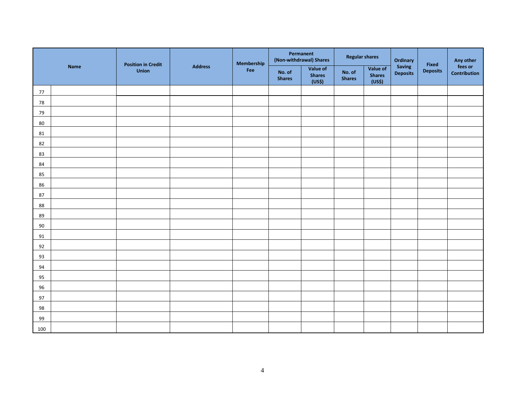|            |             | <b>Position in Credit</b> |                | Membership | Permanent<br>(Non-withdrawal) Shares |                                     | <b>Regular shares</b>   |                                     | Ordinary                  |                          | Any other               |
|------------|-------------|---------------------------|----------------|------------|--------------------------------------|-------------------------------------|-------------------------|-------------------------------------|---------------------------|--------------------------|-------------------------|
|            | <b>Name</b> | Union                     | <b>Address</b> | Fee        | No. of<br><b>Shares</b>              | Value of<br><b>Shares</b><br>(US\$) | No. of<br><b>Shares</b> | Value of<br><b>Shares</b><br>(US\$) | Saving<br><b>Deposits</b> | Fixed<br><b>Deposits</b> | fees or<br>Contribution |
| 77         |             |                           |                |            |                                      |                                     |                         |                                     |                           |                          |                         |
| ${\bf 78}$ |             |                           |                |            |                                      |                                     |                         |                                     |                           |                          |                         |
| 79         |             |                           |                |            |                                      |                                     |                         |                                     |                           |                          |                         |
| 80         |             |                           |                |            |                                      |                                     |                         |                                     |                           |                          |                         |
| ${\bf 81}$ |             |                           |                |            |                                      |                                     |                         |                                     |                           |                          |                         |
| 82         |             |                           |                |            |                                      |                                     |                         |                                     |                           |                          |                         |
| 83         |             |                           |                |            |                                      |                                     |                         |                                     |                           |                          |                         |
| 84         |             |                           |                |            |                                      |                                     |                         |                                     |                           |                          |                         |
| 85         |             |                           |                |            |                                      |                                     |                         |                                     |                           |                          |                         |
| 86         |             |                           |                |            |                                      |                                     |                         |                                     |                           |                          |                         |
| 87         |             |                           |                |            |                                      |                                     |                         |                                     |                           |                          |                         |
| 88         |             |                           |                |            |                                      |                                     |                         |                                     |                           |                          |                         |
| 89         |             |                           |                |            |                                      |                                     |                         |                                     |                           |                          |                         |
| $90\,$     |             |                           |                |            |                                      |                                     |                         |                                     |                           |                          |                         |
| 91         |             |                           |                |            |                                      |                                     |                         |                                     |                           |                          |                         |
| 92         |             |                           |                |            |                                      |                                     |                         |                                     |                           |                          |                         |
| 93         |             |                           |                |            |                                      |                                     |                         |                                     |                           |                          |                         |
| 94         |             |                           |                |            |                                      |                                     |                         |                                     |                           |                          |                         |
| 95         |             |                           |                |            |                                      |                                     |                         |                                     |                           |                          |                         |
| 96         |             |                           |                |            |                                      |                                     |                         |                                     |                           |                          |                         |
| 97         |             |                           |                |            |                                      |                                     |                         |                                     |                           |                          |                         |
| 98         |             |                           |                |            |                                      |                                     |                         |                                     |                           |                          |                         |
| 99         |             |                           |                |            |                                      |                                     |                         |                                     |                           |                          |                         |
| 100        |             |                           |                |            |                                      |                                     |                         |                                     |                           |                          |                         |